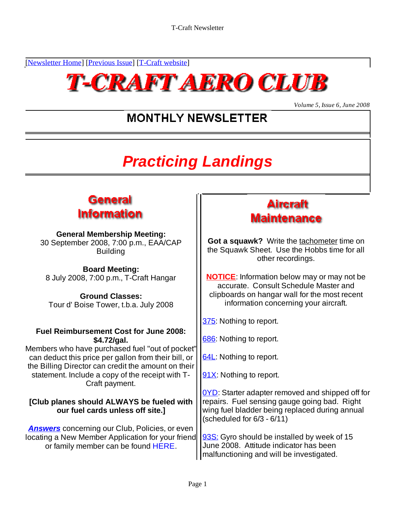[Newsletter Home] [Previous Issue] [T-Craft website]



*Volume 5, Issue 6, June 2008*

## **MONTHLY NEWSLETTER**

# **Practicing Landings**



### **General Membership Meeting:**<br>eptember 2008, 7:00 p.m., FAA/CAP **Cot a squawk?** Write the tachometer time on 30 September 2008, 7:00 p.m., EAA/CAP

**Board Meeting:**

Tour d' Boise Tower, t.b.a. July 2008

#### **Fuel Reimbursement Cost for June 2008: \$4.72/gal.**

Members who have purchased fuel "out of pocket" can deduct this price per gallon from their bill, or  $\frac{\delta 4L}{\delta 4L}$ : Nothing to report. the Billing Director can credit the amount on their statement. Include a copy of the receipt with  $T - \frac{191X}{100}$ : Nothing to report. Craft payment. or September 2008, 7:00<sup>-</sup>p.m., EAAVCAP<br>
Board Meeting:<br>
Board Meeting:<br>
Board Meeting:<br>
Board Meeting:<br>
Board Meeting:<br>
Board Meeting:<br>
Sully 2008, 7:00-p.m., T-Craft Hangar<br>
Ground Classes:<br>
Tourd'Boise Tower, t.b.a. Jul

# **[Club planes should ALWAYS be fueled with**

**Answers** concerning our Club, Policies, or even locating a New Member Application for your friend

## **Aircraft Maintenance**

Building **the Squawk Sheet.** Use the Hobbs time for all other recordings.

8 July 2008, 7:00 p.m., T-Craft Hangar **NOTICE**: Information below may or may not be Ground Classes: **Container and Classes: Container Classes: container and Classes:**  $\begin{bmatrix} \cdot & \cdot & \cdot \\ \cdot & \cdot & \cdot \\ \cdot & \cdot & \cdot \\ \cdot & \cdot & \cdot \end{bmatrix}$  clipboards on hangar wall for the most recent accurate. Consult Schedule Master and information concerning your aircraft.

375: Nothing to report.

686: Nothing to report.

64L: Nothing to report.

91X: Nothing to report.

**our fuel cards unless off site.]** | wing fuel bladder being replaced during annual 0YD: Starter adapter removed and shipped off for repairs. Fuel sensing gauge going bad. Right (scheduled for 6/3 - 6/11)

> 93S: Gyro should be installed by week of 15 June 2008. Attitude indicator has been malfunctioning and will be investigated.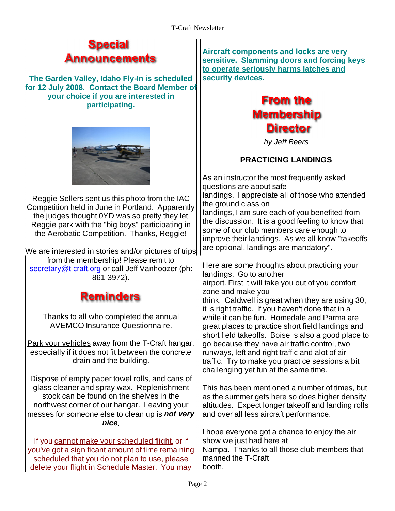### **Special** Announcements

**The Garden Valley, Idaho Fly-In is scheduled for 12 July 2008. Contact the Board Member of your choice if you are interested in Trom the** 



Reggie Sellers sent us this photo from the IAC ||angligis. Tapprecial<br>Competition hold in June in Pertland Appercant... Competition held in June in Portland. Apparently the judges thought 0YD was so pretty they let Reggie park with the "big boys" participating in the Aerobatic Competition. Thanks, Reggie!

We are interested in stories and/or pictures of trips from the membership! Please remit to secretary@t-craft.org or call Jeff Vanhoozer (ph: Figure are some moughts<br>landings. Go to another

### **Reminders**

Park your vehicles away from the T-Craft hangar,

Dispose of empty paper towel rolls, and cans of messes for someone else to clean up is **not very nice**.

If you cannot make your scheduled flight, or if show we just had here at you've got a significant amount of time remaining scheduled that you do not plan to use, please manne<br>Jelete your flight in Schedule Master, You may booth. delete your flight in Schedule Master. You may

**Aircraft components and locks are very sensitive. Slamming doors and forcing keys to operate seriously harms latches and security devices.**



by Jeff Beers

#### **PRACTICING LANDINGS**

As an instructor the most frequently asked questions are about safe landings. I appreciate all of those who attended the ground class on landings, I am sure each of you benefited from the discussion. It is a good feeling to know that some of our club members care enough to improve their landings. As we all know "takeoffs are optional, landings are mandatory".

861-3972). Tandings. Go to anomer<br>extensive state of the set of the set of the set of the set of the set of the set of the set of the set of the Thanks to all who completed the annual while it can be fun. Homedale and Parma are AVEMCO Insurance Questionnaire. etc. great places to practice short field landings and especially if it does not fit between the concrete runways, left and right traffic and alot of air drain and the building. traffic. Try to make you practice sessions a bit Here are some thoughts about practicing your landings. Go to another airport. First it will take you out of you comfort zone and make you think. Caldwell is great when they are using 30, it is right traffic. If you haven't done that in a short field takeoffs. Boise is also a good place to go because they have air traffic control, two

glass cleaner and spray wax. Replenishment This has been mentioned a number of times, but stock can be found on the shelves in the as the summer gets here so does higher density northwest corner of our hangar. Leaving your altitudes. Expect longer takeoff and landing rolls and over all less aircraft performance.

challenging yet fun at the same time.

I hope everyone got a chance to enjoy the air show we just had here at Nampa. Thanks to all those club members that manned the T-Craft booth.